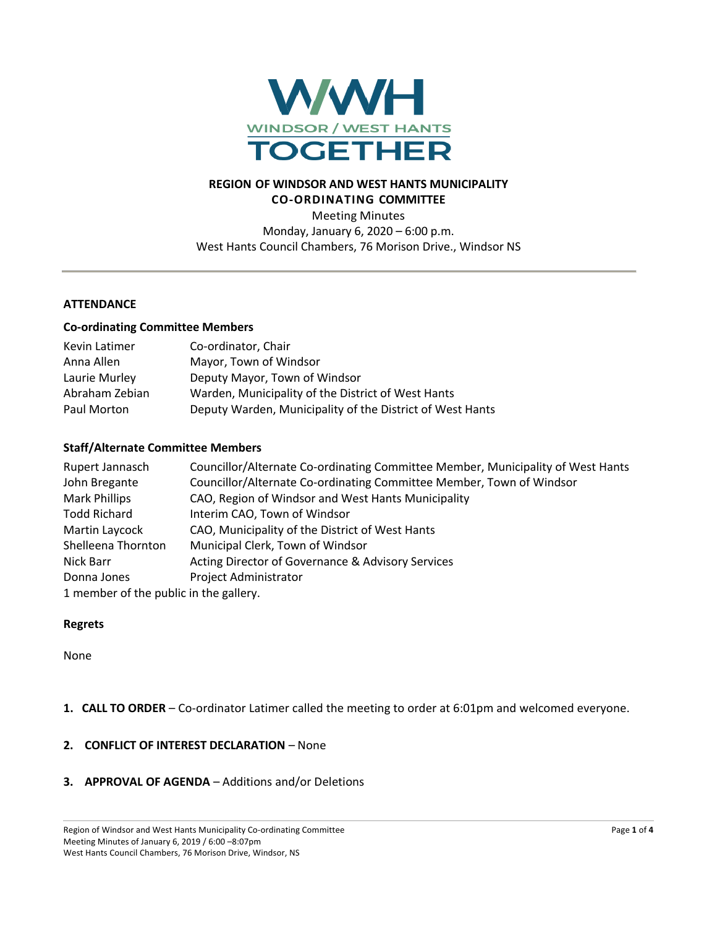

# **REGION OF WINDSOR AND WEST HANTS MUNICIPALITY CO-ORDINATING COMMITTEE**

Meeting Minutes Monday, January 6, 2020 – 6:00 p.m. West Hants Council Chambers, 76 Morison Drive., Windsor NS

### **ATTENDANCE**

#### **Co-ordinating Committee Members**

| Kevin Latimer  | Co-ordinator, Chair                                       |
|----------------|-----------------------------------------------------------|
| Anna Allen     | Mayor, Town of Windsor                                    |
| Laurie Murley  | Deputy Mayor, Town of Windsor                             |
| Abraham Zebian | Warden, Municipality of the District of West Hants        |
| Paul Morton    | Deputy Warden, Municipality of the District of West Hants |

## **Staff/Alternate Committee Members**

| Rupert Jannasch                        | Councillor/Alternate Co-ordinating Committee Member, Municipality of West Hants |
|----------------------------------------|---------------------------------------------------------------------------------|
| John Bregante                          | Councillor/Alternate Co-ordinating Committee Member, Town of Windsor            |
| <b>Mark Phillips</b>                   | CAO, Region of Windsor and West Hants Municipality                              |
| <b>Todd Richard</b>                    | Interim CAO, Town of Windsor                                                    |
| Martin Laycock                         | CAO, Municipality of the District of West Hants                                 |
| Shelleena Thornton                     | Municipal Clerk, Town of Windsor                                                |
| Nick Barr                              | Acting Director of Governance & Advisory Services                               |
| Donna Jones                            | <b>Project Administrator</b>                                                    |
| 1 member of the public in the gallery. |                                                                                 |

#### **Regrets**

None

## **1. CALL TO ORDER** – Co-ordinator Latimer called the meeting to order at 6:01pm and welcomed everyone.

#### **2. CONFLICT OF INTEREST DECLARATION** – None

**3. APPROVAL OF AGENDA** – Additions and/or Deletions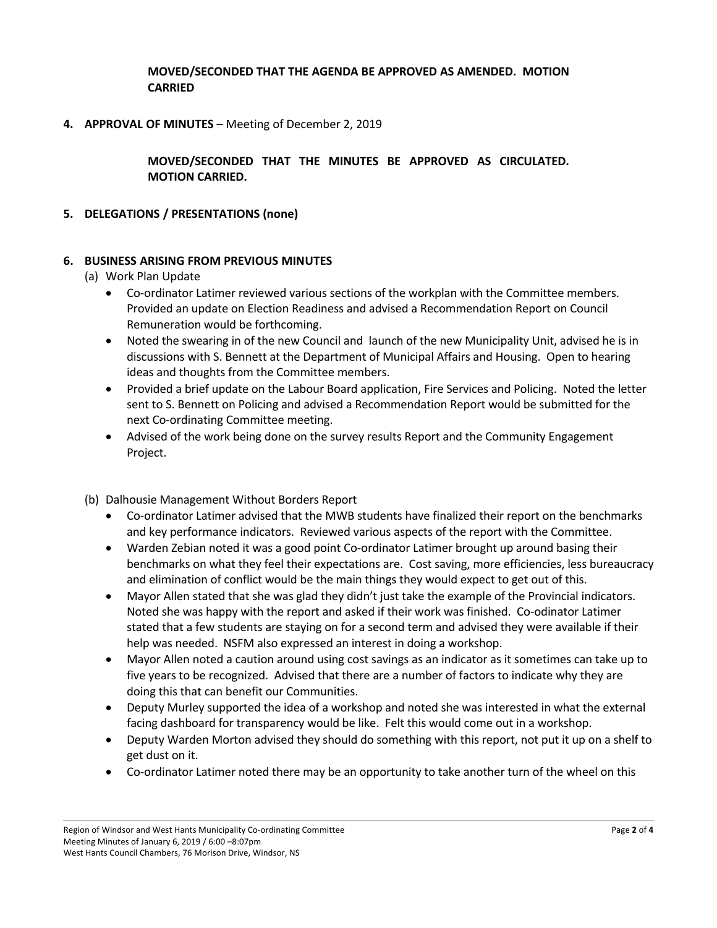**MOVED/SECONDED THAT THE AGENDA BE APPROVED AS AMENDED. MOTION CARRIED**

**4. APPROVAL OF MINUTES** – Meeting of December 2, 2019

**MOVED/SECONDED THAT THE MINUTES BE APPROVED AS CIRCULATED. MOTION CARRIED.**

## **5. DELEGATIONS / PRESENTATIONS (none)**

### **6. BUSINESS ARISING FROM PREVIOUS MINUTES**

- (a) Work Plan Update
	- Co-ordinator Latimer reviewed various sections of the workplan with the Committee members. Provided an update on Election Readiness and advised a Recommendation Report on Council Remuneration would be forthcoming.
	- Noted the swearing in of the new Council and launch of the new Municipality Unit, advised he is in discussions with S. Bennett at the Department of Municipal Affairs and Housing. Open to hearing ideas and thoughts from the Committee members.
	- Provided a brief update on the Labour Board application, Fire Services and Policing. Noted the letter sent to S. Bennett on Policing and advised a Recommendation Report would be submitted for the next Co-ordinating Committee meeting.
	- Advised of the work being done on the survey results Report and the Community Engagement Project.

(b) Dalhousie Management Without Borders Report

- Co-ordinator Latimer advised that the MWB students have finalized their report on the benchmarks and key performance indicators. Reviewed various aspects of the report with the Committee.
- Warden Zebian noted it was a good point Co-ordinator Latimer brought up around basing their benchmarks on what they feel their expectations are. Cost saving, more efficiencies, less bureaucracy and elimination of conflict would be the main things they would expect to get out of this.
- Mayor Allen stated that she was glad they didn't just take the example of the Provincial indicators. Noted she was happy with the report and asked if their work was finished. Co-odinator Latimer stated that a few students are staying on for a second term and advised they were available if their help was needed. NSFM also expressed an interest in doing a workshop.
- Mayor Allen noted a caution around using cost savings as an indicator as it sometimes can take up to five years to be recognized. Advised that there are a number of factors to indicate why they are doing this that can benefit our Communities.
- Deputy Murley supported the idea of a workshop and noted she was interested in what the external facing dashboard for transparency would be like. Felt this would come out in a workshop.
- Deputy Warden Morton advised they should do something with this report, not put it up on a shelf to get dust on it.
- Co-ordinator Latimer noted there may be an opportunity to take another turn of the wheel on this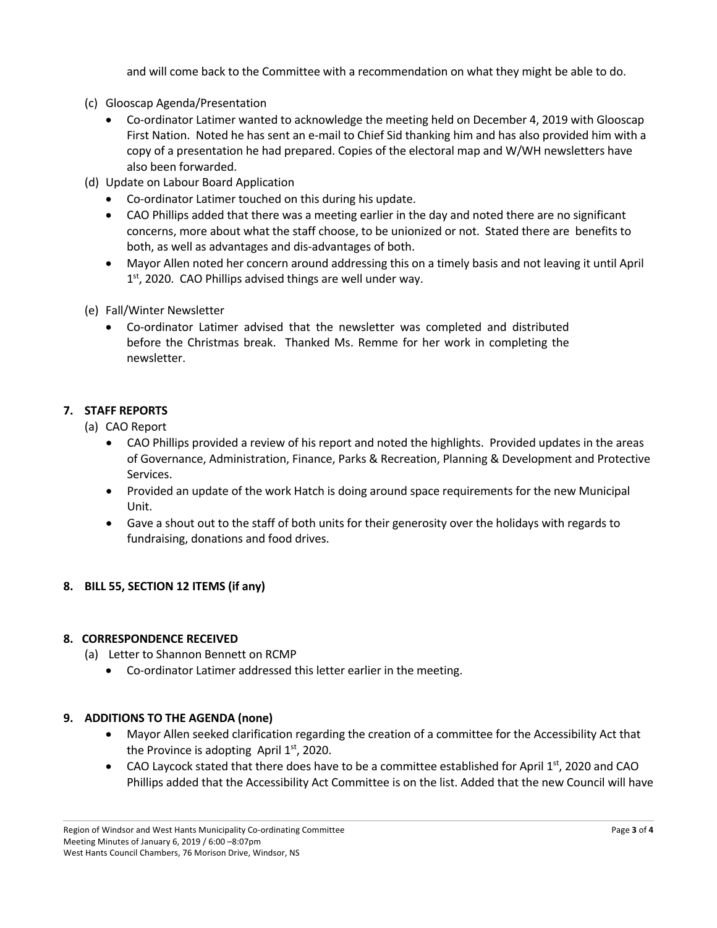and will come back to the Committee with a recommendation on what they might be able to do.

- (c) Glooscap Agenda/Presentation
	- Co-ordinator Latimer wanted to acknowledge the meeting held on December 4, 2019 with Glooscap First Nation. Noted he has sent an e-mail to Chief Sid thanking him and has also provided him with a copy of a presentation he had prepared. Copies of the electoral map and W/WH newsletters have also been forwarded.
- (d) Update on Labour Board Application
	- Co-ordinator Latimer touched on this during his update.
	- CAO Phillips added that there was a meeting earlier in the day and noted there are no significant concerns, more about what the staff choose, to be unionized or not. Stated there are benefits to both, as well as advantages and dis-advantages of both.
	- Mayor Allen noted her concern around addressing this on a timely basis and not leaving it until April 1<sup>st</sup>, 2020. CAO Phillips advised things are well under way.
- (e) Fall/Winter Newsletter
	- Co-ordinator Latimer advised that the newsletter was completed and distributed before the Christmas break. Thanked Ms. Remme for her work in completing the newsletter.

### **7. STAFF REPORTS**

(a) CAO Report

- CAO Phillips provided a review of his report and noted the highlights. Provided updates in the areas of Governance, Administration, Finance, Parks & Recreation, Planning & Development and Protective Services.
- Provided an update of the work Hatch is doing around space requirements for the new Municipal Unit.
- Gave a shout out to the staff of both units for their generosity over the holidays with regards to fundraising, donations and food drives.

# **8. BILL 55, SECTION 12 ITEMS (if any)**

### **8. CORRESPONDENCE RECEIVED**

(a) Letter to Shannon Bennett on RCMP

• Co-ordinator Latimer addressed this letter earlier in the meeting.

### **9. ADDITIONS TO THE AGENDA (none)**

- Mayor Allen seeked clarification regarding the creation of a committee for the Accessibility Act that the Province is adopting April  $1<sup>st</sup>$ , 2020.
- CAO Laycock stated that there does have to be a committee established for April  $1^{st}$ , 2020 and CAO Phillips added that the Accessibility Act Committee is on the list. Added that the new Council will have